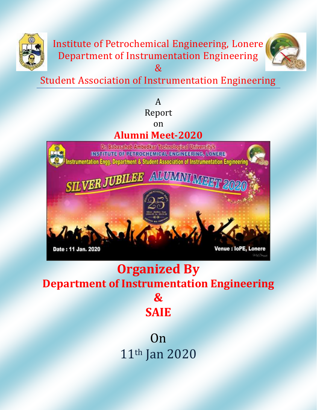

Institute of Petrochemical Engineering, Lonere Department of Instrumentation Engineering



Student Association of Instrumentation Engineering

&

#### A Report on

## **Alumni Meet-2020**

Dr. Babasaheb Ambedkar Technologieal University's INSTITUTE OF PETROGHEMICAL ENGINEERING, LOMERE nstrumentation Engg. Department & Student Association of Instrumentation Engineering

Date : 11 Jan. 2020

**Venue : loPE. Lonere** 

# **Organized By**

**Department of Instrumentation Engineering &** 

**SAIE**

**Contract Contract Contract Contract Contract Contract Contract Contract Contract Contract Contract Contract Contract Contract Contract Contract Contract Contract Contract Contract Contract Contract Contract Contract Contr** 11th Jan 2020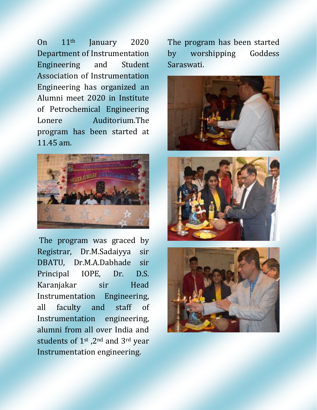On 11th January 2020 Department of Instrumentation Engineering and Student Association of Instrumentation Engineering has organized an Alumni meet 2020 in Institute of Petrochemical Engineering Lonere Auditorium.The program has been started at 11.45 am.



The program was graced by Registrar, Dr.M.Sadaiyya sir DBATU, Dr.M.A.Dabhade sir Principal IOPE, Dr. D.S. Karanjakar sir Head Instrumentation Engineering, all faculty and staff of Instrumentation engineering, alumni from all over India and students of 1st ,2nd and 3rd year Instrumentation engineering.

The program has been started by worshipping Goddess Saraswati.





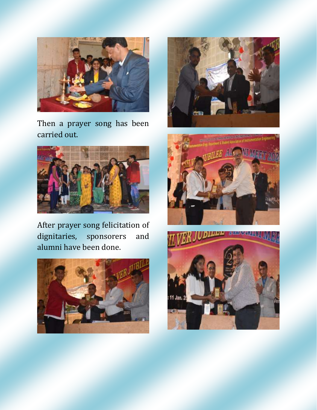

Then a prayer song has been carried out.



After prayer song felicitation of dignitaries, sponsorers and alumni have been done.







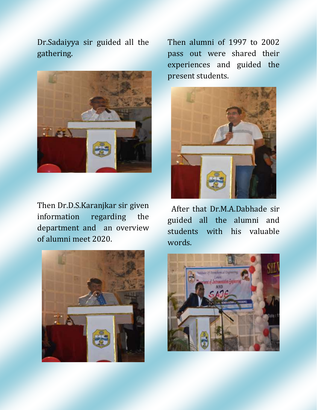Dr.Sadaiyya sir guided all the gathering.



Then Dr.D.S.Karanjkar sir given information regarding the department and an overview of alumni meet 2020.



Then alumni of 1997 to 2002 pass out were shared their experiences and guided the present students.



 After that Dr.M.A.Dabhade sir guided all the alumni and students with his valuable words.

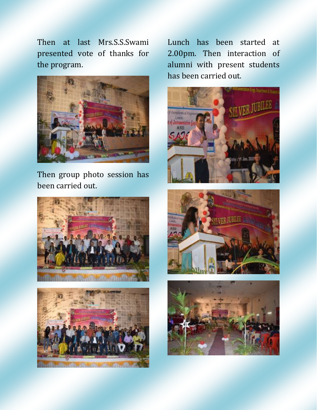Then at last Mrs.S.S.Swami presented vote of thanks for the program.



Then group photo session has been carried out.





Lunch has been started at 2.00pm. Then interaction of alumni with present students has been carried out.





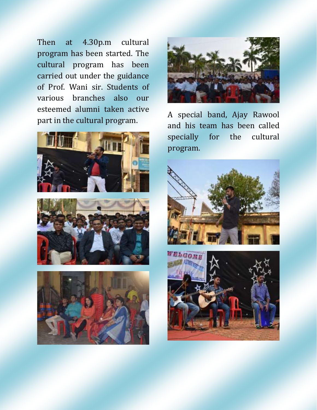Then at 4.30p.m cultural program has been started. The cultural program has been carried out under the guidance of Prof. Wani sir. Students of various branches also our esteemed alumni taken active part in the cultural program.









A special band, Ajay Rawool and his team has been called specially for the cultural program.



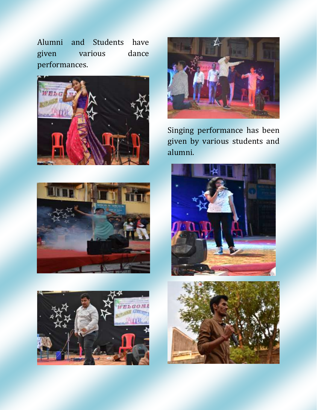Alumni and Students have given various dance performances.









Singing performance has been given by various students and alumni.



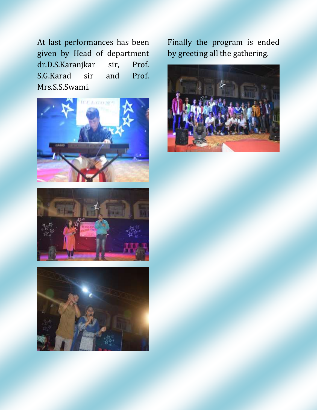At last performances has been given by Head of department dr.D.S.Karanjkar sir, Prof. S.G.Karad sir and Prof. Mrs.S.S.Swami.







Finally the program is ended by greeting all the gathering.